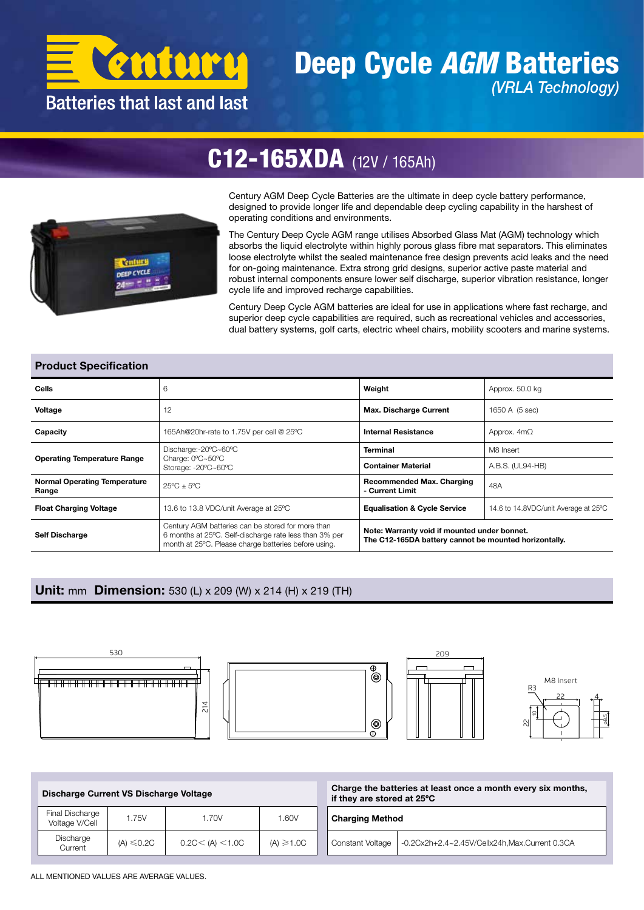

### Deep Cycle *AGM* Batteries *(VRLA Technology)*

## C12-165XDA (12V / 165Ah)



Century AGM Deep Cycle Batteries are the ultimate in deep cycle battery performance, designed to provide longer life and dependable deep cycling capability in the harshest of operating conditions and environments.

The Century Deep Cycle AGM range utilises Absorbed Glass Mat (AGM) technology which absorbs the liquid electrolyte within highly porous glass fibre mat separators. This eliminates loose electrolyte whilst the sealed maintenance free design prevents acid leaks and the need for on-going maintenance. Extra strong grid designs, superior active paste material and robust internal components ensure lower self discharge, superior vibration resistance, longer cycle life and improved recharge capabilities.

Century Deep Cycle AGM batteries are ideal for use in applications where fast recharge, and superior deep cycle capabilities are required, such as recreational vehicles and accessories, dual battery systems, golf carts, electric wheel chairs, mobility scooters and marine systems.

#### Product Specification

| <b>Cells</b>                                 | 6                                                                                                                                                                   | Weight                                                                                                | Approx. 50.0 kg                      |  |  |  |
|----------------------------------------------|---------------------------------------------------------------------------------------------------------------------------------------------------------------------|-------------------------------------------------------------------------------------------------------|--------------------------------------|--|--|--|
| Voltage                                      | 12                                                                                                                                                                  | <b>Max. Discharge Current</b>                                                                         | 1650 A (5 sec)                       |  |  |  |
| Capacity                                     | 165Ah@20hr-rate to 1.75V per cell @ 25°C                                                                                                                            | <b>Internal Resistance</b>                                                                            | Approx. $4m\Omega$                   |  |  |  |
| <b>Operating Temperature Range</b>           | Discharge:-20°C~60°C                                                                                                                                                | <b>Terminal</b>                                                                                       | M8 Insert                            |  |  |  |
|                                              | Charge: 0°C~50°C<br>Storage: -20°C~60°C                                                                                                                             | <b>Container Material</b>                                                                             | A.B.S. (UL94-HB)                     |  |  |  |
| <b>Normal Operating Temperature</b><br>Range | $25^{\circ}$ C + $5^{\circ}$ C                                                                                                                                      | <b>Recommended Max. Charging</b><br>- Current Limit                                                   | 48A                                  |  |  |  |
| <b>Float Charging Voltage</b>                | 13.6 to 13.8 VDC/unit Average at 25°C                                                                                                                               | <b>Equalisation &amp; Cycle Service</b>                                                               | 14.6 to 14.8VDC/unit Average at 25°C |  |  |  |
| <b>Self Discharge</b>                        | Century AGM batteries can be stored for more than<br>6 months at 25°C. Self-discharge rate less than 3% per<br>month at 25°C. Please charge batteries before using. | Note: Warranty void if mounted under bonnet.<br>The C12-165DA battery cannot be mounted horizontally. |                                      |  |  |  |

#### Unit: mm Dimension: 530 (L) x 209 (W) x 214 (H) x 219 (TH)







⊕  $^{\circledR}$ 

 $^{\circledR}$ 



| Discharge Current VS Discharge Voltage |                      |                          |                | Charge the batteries at least once a month every six months,<br>if they are stored at 25°C |  |  |  |  |
|----------------------------------------|----------------------|--------------------------|----------------|--------------------------------------------------------------------------------------------|--|--|--|--|
| Final Discharge<br>Voltage V/Cell      | 1.75V                | 1.70V                    | 1.60V          | <b>Charging Method</b>                                                                     |  |  |  |  |
| Discharge<br>Current                   | (A) $\leqslant$ 0.2C | $0.2$ C $<$ (A) $<$ 1.0C | $(A) \ge 1.0C$ | -0.2Cx2h+2.4~2.45V/Cellx24h,Max.Current 0.3CA<br>Constant Voltage                          |  |  |  |  |

ALL MENTIONED VALUES ARE AVERAGE VALUES.